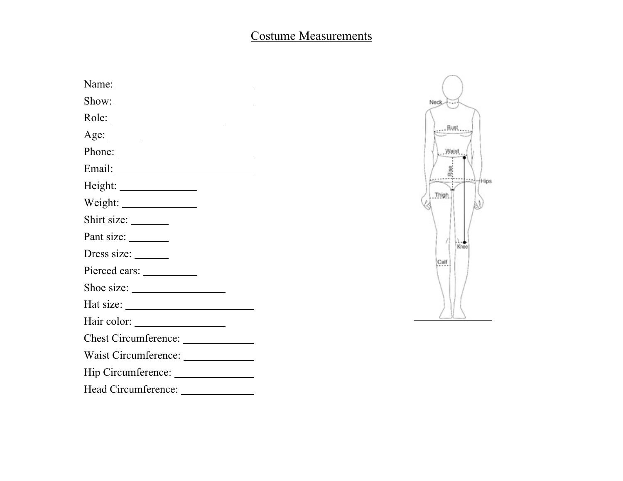## Costume Measurements

| Name: $\frac{1}{\sqrt{1-\frac{1}{2}} \cdot \frac{1}{2}}$                                                                                                                                                                                                                                                                                                                                                                                         |
|--------------------------------------------------------------------------------------------------------------------------------------------------------------------------------------------------------------------------------------------------------------------------------------------------------------------------------------------------------------------------------------------------------------------------------------------------|
| Show: 2000 Charles Changes and Changes Changes and Changes and Changes and Changes and Changes and Changes and Changes and Changes and Changes and Changes and Changes and Changes and Changes and Changes and Changes and Cha                                                                                                                                                                                                                   |
|                                                                                                                                                                                                                                                                                                                                                                                                                                                  |
| Age: $\_\_$                                                                                                                                                                                                                                                                                                                                                                                                                                      |
|                                                                                                                                                                                                                                                                                                                                                                                                                                                  |
|                                                                                                                                                                                                                                                                                                                                                                                                                                                  |
|                                                                                                                                                                                                                                                                                                                                                                                                                                                  |
|                                                                                                                                                                                                                                                                                                                                                                                                                                                  |
|                                                                                                                                                                                                                                                                                                                                                                                                                                                  |
| Pant size: ________                                                                                                                                                                                                                                                                                                                                                                                                                              |
| Dress size: ______                                                                                                                                                                                                                                                                                                                                                                                                                               |
|                                                                                                                                                                                                                                                                                                                                                                                                                                                  |
|                                                                                                                                                                                                                                                                                                                                                                                                                                                  |
| Hat size: $\frac{1}{\sqrt{1-\frac{1}{2}} \cdot \frac{1}{2} \cdot \frac{1}{2} \cdot \frac{1}{2} \cdot \frac{1}{2} \cdot \frac{1}{2} \cdot \frac{1}{2} \cdot \frac{1}{2} \cdot \frac{1}{2} \cdot \frac{1}{2} \cdot \frac{1}{2} \cdot \frac{1}{2} \cdot \frac{1}{2} \cdot \frac{1}{2} \cdot \frac{1}{2} \cdot \frac{1}{2} \cdot \frac{1}{2} \cdot \frac{1}{2} \cdot \frac{1}{2} \cdot \frac{1}{2} \cdot \frac{1}{2} \cdot \frac{1}{2} \cdot \frac{$ |
| Hair color: ____________________                                                                                                                                                                                                                                                                                                                                                                                                                 |
| Chest Circumference:                                                                                                                                                                                                                                                                                                                                                                                                                             |
| Waist Circumference: ______________                                                                                                                                                                                                                                                                                                                                                                                                              |
| Hip Circumference: __________________                                                                                                                                                                                                                                                                                                                                                                                                            |
| Head Circumference: ______________                                                                                                                                                                                                                                                                                                                                                                                                               |
|                                                                                                                                                                                                                                                                                                                                                                                                                                                  |